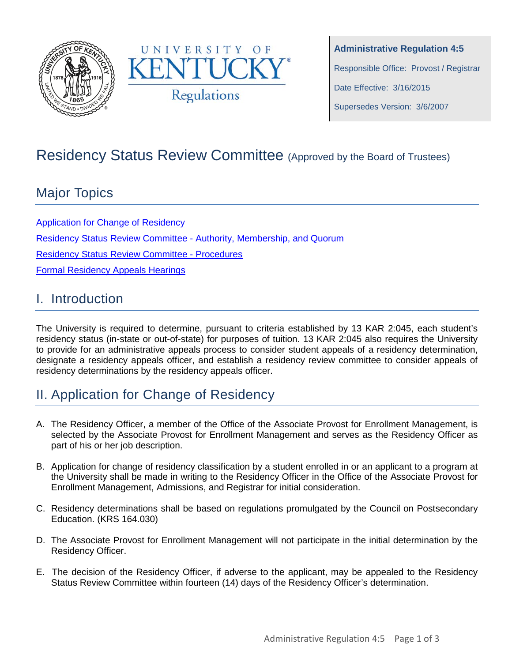



**Administrative Regulation 4:5** Responsible Office: Provost / Registrar Date Effective: 3/16/2015 Supersedes Version: 3/6/2007

# Residency Status Review Committee (Approved by the Board of Trustees)

## Major Topics

[Application for Change of Residency](#page-0-0) [Residency Status Review Committee](#page-1-0) - Authority, Membership, and Quorum Residency Status Review [Committee -](#page-1-1) Procedures [Formal Residency Appeals Hearings](#page-2-0)

#### I. Introduction

The University is required to determine, pursuant to criteria established by 13 KAR 2:045, each student's residency status (in-state or out-of-state) for purposes of tuition. 13 KAR 2:045 also requires the University to provide for an administrative appeals process to consider student appeals of a residency determination, designate a residency appeals officer, and establish a residency review committee to consider appeals of residency determinations by the residency appeals officer.

## <span id="page-0-0"></span>II. Application for Change of Residency

- A. The Residency Officer, a member of the Office of the Associate Provost for Enrollment Management, is selected by the Associate Provost for Enrollment Management and serves as the Residency Officer as part of his or her job description.
- B. Application for change of residency classification by a student enrolled in or an applicant to a program at the University shall be made in writing to the Residency Officer in the Office of the Associate Provost for Enrollment Management, Admissions, and Registrar for initial consideration.
- C. Residency determinations shall be based on regulations promulgated by the Council on Postsecondary Education. (KRS 164.030)
- D. The Associate Provost for Enrollment Management will not participate in the initial determination by the Residency Officer.
- E. The decision of the Residency Officer, if adverse to the applicant, may be appealed to the Residency Status Review Committee within fourteen (14) days of the Residency Officer's determination.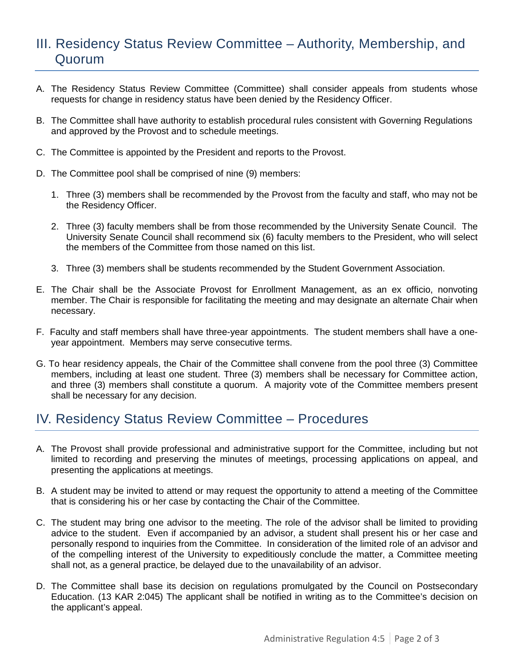### <span id="page-1-0"></span>III. Residency Status Review Committee – Authority, Membership, and Quorum

- A. The Residency Status Review Committee (Committee) shall consider appeals from students whose requests for change in residency status have been denied by the Residency Officer.
- B. The Committee shall have authority to establish procedural rules consistent with Governing Regulations and approved by the Provost and to schedule meetings.
- C. The Committee is appointed by the President and reports to the Provost.
- D. The Committee pool shall be comprised of nine (9) members:
	- 1. Three (3) members shall be recommended by the Provost from the faculty and staff, who may not be the Residency Officer.
	- 2. Three (3) faculty members shall be from those recommended by the University Senate Council. The University Senate Council shall recommend six (6) faculty members to the President, who will select the members of the Committee from those named on this list.
	- 3. Three (3) members shall be students recommended by the Student Government Association.
- E. The Chair shall be the Associate Provost for Enrollment Management, as an ex officio, nonvoting member. The Chair is responsible for facilitating the meeting and may designate an alternate Chair when necessary.
- F. Faculty and staff members shall have three-year appointments. The student members shall have a oneyear appointment. Members may serve consecutive terms.
- G. To hear residency appeals, the Chair of the Committee shall convene from the pool three (3) Committee members, including at least one student. Three (3) members shall be necessary for Committee action, and three (3) members shall constitute a quorum. A majority vote of the Committee members present shall be necessary for any decision.

### <span id="page-1-1"></span>IV. Residency Status Review Committee – Procedures

- A. The Provost shall provide professional and administrative support for the Committee, including but not limited to recording and preserving the minutes of meetings, processing applications on appeal, and presenting the applications at meetings.
- B. A student may be invited to attend or may request the opportunity to attend a meeting of the Committee that is considering his or her case by contacting the Chair of the Committee.
- C. The student may bring one advisor to the meeting. The role of the advisor shall be limited to providing advice to the student. Even if accompanied by an advisor, a student shall present his or her case and personally respond to inquiries from the Committee. In consideration of the limited role of an advisor and of the compelling interest of the University to expeditiously conclude the matter, a Committee meeting shall not, as a general practice, be delayed due to the unavailability of an advisor.
- D. The Committee shall base its decision on regulations promulgated by the Council on Postsecondary Education. (13 KAR 2:045) The applicant shall be notified in writing as to the Committee's decision on the applicant's appeal.